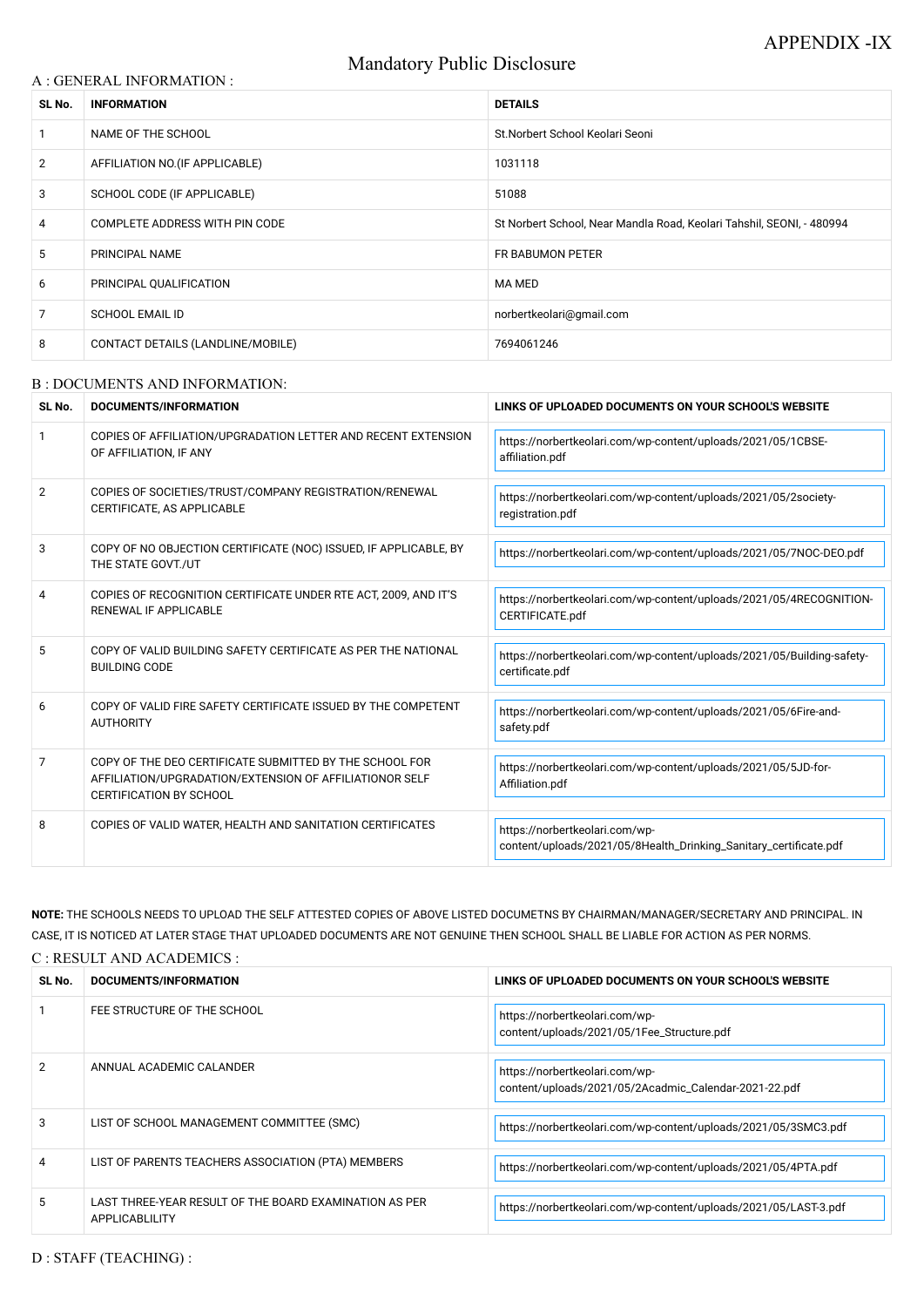# Mandatory Public Disclosure

### A : GENERAL INFORMATION :

| SL No.         | <b>INFORMATION</b>                | <b>DETAILS</b>                                                        |
|----------------|-----------------------------------|-----------------------------------------------------------------------|
|                | NAME OF THE SCHOOL                | St. Norbert School Keolari Seoni                                      |
| $\overline{2}$ | AFFILIATION NO. (IF APPLICABLE)   | 1031118                                                               |
| 3              | SCHOOL CODE (IF APPLICABLE)       | 51088                                                                 |
| 4              | COMPLETE ADDRESS WITH PIN CODE    | St Norbert School, Near Mandla Road, Keolari Tahshil, SEONI, - 480994 |
| 5              | PRINCIPAL NAME                    | FR BABUMON PETER                                                      |
| 6              | PRINCIPAL QUALIFICATION           | MA MED                                                                |
| 7              | <b>SCHOOL EMAIL ID</b>            | norbertkeolari@gmail.com                                              |
| 8              | CONTACT DETAILS (LANDLINE/MOBILE) | 7694061246                                                            |

#### B : DOCUMENTS AND INFORMATION:

| SL No. | DOCUMENTS/INFORMATION                                                                                                                                | LINKS OF UPLOADED DOCUMENTS ON YOUR SCHOOL'S WEBSITE                                                |
|--------|------------------------------------------------------------------------------------------------------------------------------------------------------|-----------------------------------------------------------------------------------------------------|
|        | COPIES OF AFFILIATION/UPGRADATION LETTER AND RECENT EXTENSION<br>OF AFFILIATION, IF ANY                                                              | https://norbertkeolari.com/wp-content/uploads/2021/05/1CBSE-<br>affiliation.pdf                     |
| 2      | COPIES OF SOCIETIES/TRUST/COMPANY REGISTRATION/RENEWAL<br>CERTIFICATE, AS APPLICABLE                                                                 | https://norbertkeolari.com/wp-content/uploads/2021/05/2society-<br>registration.pdf                 |
| 3      | COPY OF NO OBJECTION CERTIFICATE (NOC) ISSUED, IF APPLICABLE, BY<br>THE STATE GOVT./UT                                                               | https://norbertkeolari.com/wp-content/uploads/2021/05/7NOC-DEO.pdf                                  |
| 4      | COPIES OF RECOGNITION CERTIFICATE UNDER RTE ACT, 2009, AND IT'S<br><b>RENEWAL IF APPLICABLE</b>                                                      | https://norbertkeolari.com/wp-content/uploads/2021/05/4RECOGNITION-<br>CERTIFICATE.pdf              |
| 5      | COPY OF VALID BUILDING SAFETY CERTIFICATE AS PER THE NATIONAL<br><b>BUILDING CODE</b>                                                                | https://norbertkeolari.com/wp-content/uploads/2021/05/Building-safety-<br>certificate.pdf           |
| 6      | COPY OF VALID FIRE SAFETY CERTIFICATE ISSUED BY THE COMPETENT<br><b>AUTHORITY</b>                                                                    | https://norbertkeolari.com/wp-content/uploads/2021/05/6Fire-and-<br>safety.pdf                      |
| 7      | COPY OF THE DEO CERTIFICATE SUBMITTED BY THE SCHOOL FOR<br>AFFILIATION/UPGRADATION/EXTENSION OF AFFILIATIONOR SELF<br><b>CERTIFICATION BY SCHOOL</b> | https://norbertkeolari.com/wp-content/uploads/2021/05/5JD-for-<br>Affiliation.pdf                   |
| 8      | COPIES OF VALID WATER, HEALTH AND SANITATION CERTIFICATES                                                                                            | https://norbertkeolari.com/wp-<br>content/uploads/2021/05/8Health_Drinking_Sanitary_certificate.pdf |

| SL No. | DOCUMENTS/INFORMATION                                                    | LINKS OF UPLOADED DOCUMENTS ON YOUR SCHOOL'S WEBSITE                                    |
|--------|--------------------------------------------------------------------------|-----------------------------------------------------------------------------------------|
|        | FEE STRUCTURE OF THE SCHOOL                                              | https://norbertkeolari.com/wp-<br>content/uploads/2021/05/1Fee_Structure.pdf            |
|        | ANNUAL ACADEMIC CALANDER                                                 | https://norbertkeolari.com/wp-<br>content/uploads/2021/05/2Acadmic_Calendar-2021-22.pdf |
| З      | LIST OF SCHOOL MANAGEMENT COMMITTEE (SMC)                                | https://norbertkeolari.com/wp-content/uploads/2021/05/3SMC3.pdf                         |
| 4      | LIST OF PARENTS TEACHERS ASSOCIATION (PTA) MEMBERS                       | https://norbertkeolari.com/wp-content/uploads/2021/05/4PTA.pdf                          |
| 5      | LAST THREE-YEAR RESULT OF THE BOARD EXAMINATION AS PER<br>APPLICABLILITY | https://norbertkeolari.com/wp-content/uploads/2021/05/LAST-3.pdf                        |

**NOTE:** THE SCHOOLS NEEDS TO UPLOAD THE SELF ATTESTED COPIES OF ABOVE LISTED DOCUMETNS BY CHAIRMAN/MANAGER/SECRETARY AND PRINCIPAL. IN CASE, IT IS NOTICED AT LATER STAGE THAT UPLOADED DOCUMENTS ARE NOT GENUINE THEN SCHOOL SHALL BE LIABLE FOR ACTION AS PER NORMS.

C : RESULT AND ACADEMICS :

D : STAFF (TEACHING) :